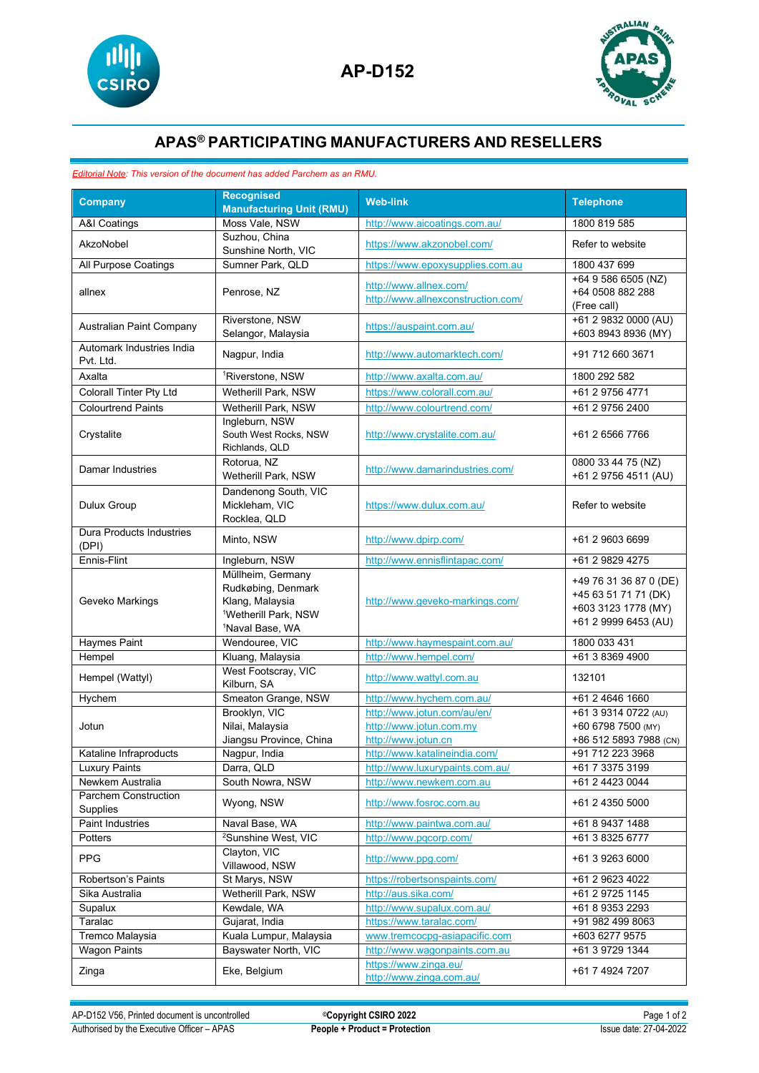



## **APAS® PARTICIPATING MANUFACTURERS AND RESELLERS**

## *Editorial Note: This version of the document has added Parchem as an RMU.*

| <b>Company</b>                           | <b>Recognised</b><br><b>Manufacturing Unit (RMU)</b>                                                                          | <b>Web-link</b>                                                               | <b>Telephone</b>                                                                              |
|------------------------------------------|-------------------------------------------------------------------------------------------------------------------------------|-------------------------------------------------------------------------------|-----------------------------------------------------------------------------------------------|
| A&I Coatings                             | Moss Vale, NSW                                                                                                                | http://www.aicoatings.com.au/                                                 | 1800 819 585                                                                                  |
| AkzoNobel                                | Suzhou, China                                                                                                                 | https://www.akzonobel.com/                                                    | Refer to website                                                                              |
|                                          | Sunshine North, VIC                                                                                                           |                                                                               |                                                                                               |
| All Purpose Coatings                     | Sumner Park, QLD                                                                                                              | https://www.epoxysupplies.com.au                                              | 1800 437 699                                                                                  |
| allnex                                   | Penrose, NZ                                                                                                                   | http://www.allnex.com/<br>http://www.allnexconstruction.com/                  | +64 9 586 6505 (NZ)<br>+64 0508 882 288<br>(Free call)                                        |
| Australian Paint Company                 | Riverstone, NSW<br>Selangor, Malaysia                                                                                         | https://auspaint.com.au/                                                      | +61 2 9832 0000 (AU)<br>+603 8943 8936 (MY)                                                   |
| Automark Industries India<br>Pvt. Ltd.   | Nagpur, India                                                                                                                 | http://www.automarktech.com/                                                  | +91 712 660 3671                                                                              |
| Axalta                                   | <sup>1</sup> Riverstone, NSW                                                                                                  | http://www.axalta.com.au/                                                     | 1800 292 582                                                                                  |
| Colorall Tinter Pty Ltd                  | Wetherill Park, NSW                                                                                                           | https://www.colorall.com.au/                                                  | +61 2 9756 4771                                                                               |
| <b>Colourtrend Paints</b>                | Wetherill Park, NSW                                                                                                           | http://www.colourtrend.com/                                                   | +61 2 9756 2400                                                                               |
| Crystalite                               | Ingleburn, NSW<br>South West Rocks, NSW<br>Richlands, QLD                                                                     | http://www.crystalite.com.au/                                                 | +61 2 6566 7766                                                                               |
| Damar Industries                         | Rotorua, NZ<br>Wetherill Park, NSW                                                                                            | http://www.damarindustries.com/                                               | 0800 33 44 75 (NZ)<br>+61 2 9756 4511 (AU)                                                    |
| Dulux Group                              | Dandenong South, VIC<br>Mickleham, VIC<br>Rocklea, QLD                                                                        | https://www.dulux.com.au/                                                     | Refer to website                                                                              |
| <b>Dura Products Industries</b><br>(DPI) | Minto, NSW                                                                                                                    | http://www.dpirp.com/                                                         | +61 2 9603 6699                                                                               |
| Ennis-Flint                              | Ingleburn, NSW                                                                                                                | http://www.ennisflintapac.com/                                                | +61 2 9829 4275                                                                               |
| Geveko Markings                          | Müllheim, Germany<br>Rudkøbing, Denmark<br>Klang, Malaysia<br><sup>1</sup> Wetherill Park, NSW<br><sup>1</sup> Naval Base, WA | http://www.geveko-markings.com/                                               | +49 76 31 36 87 0 (DE)<br>+45 63 51 71 71 (DK)<br>+603 3123 1778 (MY)<br>+61 2 9999 6453 (AU) |
| Haymes Paint                             | Wendouree, VIC                                                                                                                | http://www.haymespaint.com.au/                                                | 1800 033 431                                                                                  |
| Hempel                                   | Kluang, Malaysia                                                                                                              | http://www.hempel.com/                                                        | +61 3 8369 4900                                                                               |
| Hempel (Wattyl)                          | West Footscray, VIC<br>Kilburn, SA                                                                                            | http://www.wattyl.com.au                                                      | 132101                                                                                        |
| Hychem                                   | Smeaton Grange, NSW                                                                                                           | http://www.hychem.com.au/                                                     | +61 2 4646 1660                                                                               |
| Jotun                                    | Brooklyn, VIC<br>Nilai, Malaysia<br>Jiangsu Province, China                                                                   | http://www.jotun.com/au/en/<br>http://www.jotun.com.my<br>http://www.jotun.cn | +61 3 9314 0722 (AU)<br>+60 6798 7500 (MY)<br>+86 512 5893 7988 (CN)                          |
| Kataline Infraproducts                   | Nagpur, India                                                                                                                 | http://www.katalineindia.com/                                                 | +91 712 223 3968                                                                              |
| <b>Luxury Paints</b>                     | Darra, QLD                                                                                                                    | http://www.luxurypaints.com.au/                                               | +61 7 3375 3199                                                                               |
| Newkem Australia                         | South Nowra, NSW                                                                                                              | http://www.newkem.com.au                                                      | +61 2 4423 0044                                                                               |
| Parchem Construction<br>Supplies         | Wyong, NSW                                                                                                                    | http://www.fosroc.com.au                                                      | +61 2 4350 5000                                                                               |
| Paint Industries                         | Naval Base, WA                                                                                                                | http://www.paintwa.com.au/                                                    | +61 8 9437 1488                                                                               |
| Potters                                  | <sup>2</sup> Sunshine West, VIC                                                                                               | http://www.pqcorp.com/                                                        | +61 3 8325 6777                                                                               |
| <b>PPG</b>                               | Clayton, VIC<br>Villawood, NSW                                                                                                | http://www.ppg.com/                                                           | +61 3 9263 6000                                                                               |
| Robertson's Paints                       | St Marys, NSW                                                                                                                 | https://robertsonspaints.com/                                                 | +61 2 9623 4022                                                                               |
| Sika Australia                           | Wetherill Park, NSW                                                                                                           | http://aus.sika.com/                                                          | +61 2 9725 1145                                                                               |
| Supalux                                  | Kewdale, WA                                                                                                                   | http://www.supalux.com.au/                                                    | +61 8 9353 2293                                                                               |
| Taralac                                  | Gujarat, India                                                                                                                | https://www.taralac.com/                                                      | +91 982 499 8063                                                                              |
| Tremco Malaysia                          | Kuala Lumpur, Malaysia                                                                                                        | www.tremcocpg-asiapacific.com                                                 | +603 6277 9575                                                                                |
| <b>Wagon Paints</b>                      | Bayswater North, VIC                                                                                                          | http://www.wagonpaints.com.au<br>https://www.zinga.eu/                        | +61 3 9729 1344                                                                               |
| Zinga                                    | Eke, Belgium                                                                                                                  | http://www.zinga.com.au/                                                      | +61 7 4924 7207                                                                               |